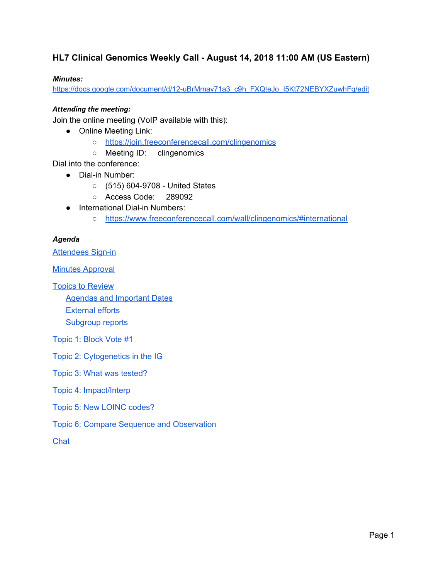### **HL7 Clinical Genomics Weekly Call - August 14, 2018 11:00 AM (US Eastern)**

#### *Minutes:*

[https://docs.google.com/document/d/12-uBrMmav71a3\\_c9h\\_FXQteJo\\_I5Kt72NEBYXZuwhFg/edit](https://docs.google.com/document/d/12-uBrMmav71a3_c9h_FXQteJo_I5Kt72NEBYXZuwhFg/edit)

#### *Attending the meeting:*

Join the online meeting (VoIP available with this):

- Online Meeting Link:
	- <https://join.freeconferencecall.com/clingenomics>
	- Meeting ID: clingenomics

Dial into the conference:

- Dial-in Number:
	- (515) 604-9708 United States
	- Access Code: 289092
- International Dial-in Numbers:
	- <https://www.freeconferencecall.com/wall/clingenomics/#international>

#### *Agenda*

Attendees Sign-in

**Minutes [Approval](#page-2-0)** 

Topics to [Review](#page-2-1)

Agendas and [Important](#page-2-2) Dates [External](#page-4-0) efforts [Subgroup](#page-4-1) reports

[Topic](#page-5-0) 1: Block Vote #1

Topic 2: [Cytogenetics](#page-6-0) in the IG

Topic 3: What was [tested?](#page-6-1)

Topic 4: [Impact/Interp](#page-7-0)

Topic 5: New LOINC [codes?](#page-8-0)

Topic 6: Compare Sequence and [Observation](#page-9-0)

[Chat](#page-9-1)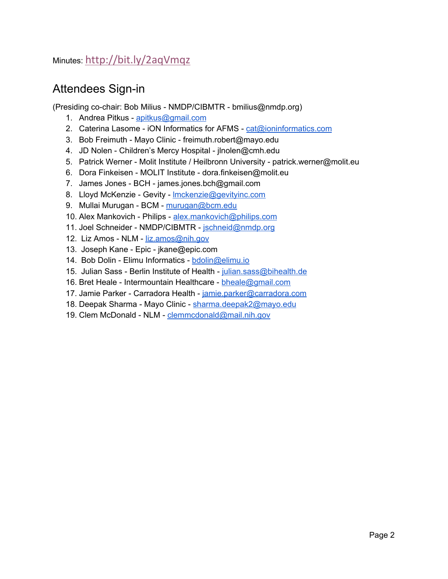### Minutes: [http://bit.ly/2aqVmqz](https://urldefense.proofpoint.com/v2/url?u=http-3A__bit.ly_2aqVmqz&d=DwMGaQ&c=C_O335FEx-vf3XHLXGN8TO1BAxpi8-UjLCbu_DQ0pZI&r=ryg_9rF5dRVeoA6Q9Ubodw&m=GEjJe-Gj7gnwIPMsqeic4AZ9cBtAS3r4qp_XLJWXe4Y&s=XWOFNkLJUJynUJAT_s2gnRI7tnLOd0lnfxd_cnxLH9o&e=)

## Attendees Sign-in

(Presiding co-chair: Bob Milius - NMDP/CIBMTR - bmilius@nmdp.org)

- 1. Andrea Pitkus [apitkus@gmail.com](mailto:apitkus@gmail.com)
- 2. Caterina Lasome iON Informatics for AFMS [cat@ioninformatics.com](mailto:cat@ioninformatics.com)
- 3. Bob Freimuth Mayo Clinic freimuth.robert@mayo.edu
- 4. JD Nolen Children's Mercy Hospital jlnolen@cmh.edu
- 5. Patrick Werner Molit Institute / Heilbronn University patrick.werner@molit.eu
- 6. Dora Finkeisen MOLIT Institute dora.finkeisen@molit.eu
- 7. James Jones BCH james.jones.bch@gmail.com
- 8. Lloyd McKenzie Gevity [lmckenzie@gevityinc.com](mailto:lmckenzie@gevityinc.com)
- 9. Mullai Murugan BCM [murugan@bcm.edu](mailto:murugan@bcm.edu)
- 10. Alex Mankovich Philips [alex.mankovich@philips.com](mailto:alex.mankovich@philips.com)
- 11. Joel Schneider NMDP/CIBMTR [jschneid@nmdp.org](mailto:jschneid@nmdp.org)
- 12. Liz Amos NLM [liz.amos@nih.gov](mailto:liz.amos@nih.gov)
- 13. Joseph Kane Epic jkane@epic.com
- 14. Bob Dolin Elimu Informatics [bdolin@elimu.io](mailto:bdolin@elimu.io)
- 15. Julian Sass Berlin Institute of Health [julian.sass@bihealth.de](mailto:julian.sass@bihealth.de)
- 16. Bret Heale Intermountain Healthcare [bheale@gmail.com](mailto:bheale@gmail.com)
- 17. Jamie Parker Carradora Health [jamie.parker@carradora.com](mailto:jamie.parker@carradora.com)
- 18. Deepak Sharma Mayo Clinic [sharma.deepak2@mayo.edu](mailto:sharma.deepak2@mayo.edu)
- 19. Clem McDonald NLM [clemmcdonald@mail.nih.gov](mailto:clemmcdonald@mail.nih.gov)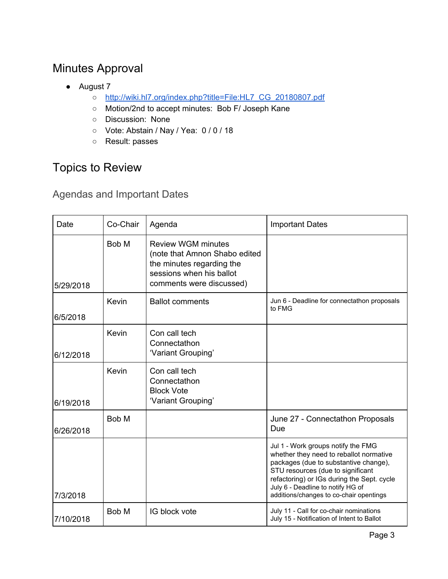# <span id="page-2-0"></span>Minutes Approval

- August 7
	- [http://wiki.hl7.org/index.php?title=File:HL7\\_CG\\_20180807.pdf](http://wiki.hl7.org/index.php?title=File:HL7_CG_20180807.pdf)
	- Motion/2nd to accept minutes: Bob F/ Joseph Kane
	- Discussion: None
	- Vote: Abstain / Nay / Yea: 0 / 0 / 18
	- Result: passes

# <span id="page-2-1"></span>Topics to Review

## <span id="page-2-2"></span>Agendas and Important Dates

| Date      | Co-Chair | Agenda                                                                                                                                          | <b>Important Dates</b>                                                                                                                                                                                                                                                                    |
|-----------|----------|-------------------------------------------------------------------------------------------------------------------------------------------------|-------------------------------------------------------------------------------------------------------------------------------------------------------------------------------------------------------------------------------------------------------------------------------------------|
| 5/29/2018 | Bob M    | <b>Review WGM minutes</b><br>(note that Amnon Shabo edited<br>the minutes regarding the<br>sessions when his ballot<br>comments were discussed) |                                                                                                                                                                                                                                                                                           |
| 6/5/2018  | Kevin    | <b>Ballot comments</b>                                                                                                                          | Jun 6 - Deadline for connectathon proposals<br>to FMG                                                                                                                                                                                                                                     |
| 6/12/2018 | Kevin    | Con call tech<br>Connectathon<br>'Variant Grouping'                                                                                             |                                                                                                                                                                                                                                                                                           |
| 6/19/2018 | Kevin    | Con call tech<br>Connectathon<br><b>Block Vote</b><br>'Variant Grouping'                                                                        |                                                                                                                                                                                                                                                                                           |
| 6/26/2018 | Bob M    |                                                                                                                                                 | June 27 - Connectathon Proposals<br>Due                                                                                                                                                                                                                                                   |
| 7/3/2018  |          |                                                                                                                                                 | Jul 1 - Work groups notify the FMG<br>whether they need to reballot normative<br>packages (due to substantive change),<br>STU resources (due to significant<br>refactoring) or IGs during the Sept. cycle<br>July 6 - Deadline to notify HG of<br>additions/changes to co-chair opentings |
| 7/10/2018 | Bob M    | IG block vote                                                                                                                                   | July 11 - Call for co-chair nominations<br>July 15 - Notification of Intent to Ballot                                                                                                                                                                                                     |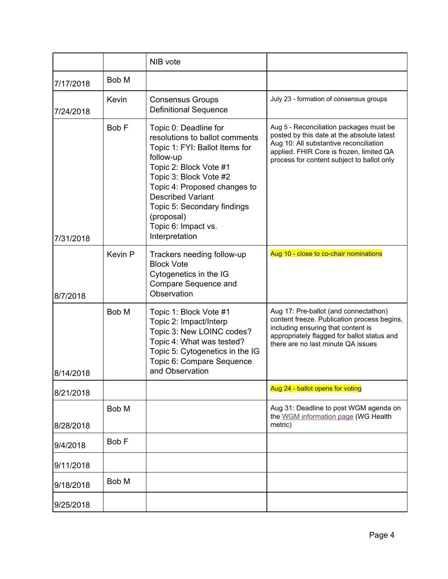|           |         | NIB vote                                                                                                                                                                                                                                                                                                     |                                                                                                                                                                                                                           |
|-----------|---------|--------------------------------------------------------------------------------------------------------------------------------------------------------------------------------------------------------------------------------------------------------------------------------------------------------------|---------------------------------------------------------------------------------------------------------------------------------------------------------------------------------------------------------------------------|
| 7/17/2018 | Bob M   |                                                                                                                                                                                                                                                                                                              |                                                                                                                                                                                                                           |
| 7/24/2018 | Kevin   | <b>Consensus Groups</b><br><b>Definitional Sequence</b>                                                                                                                                                                                                                                                      | July 23 - formation of consensus groups                                                                                                                                                                                   |
| 7/31/2018 | Bob F   | Topic 0: Deadline for<br>resolutions to ballot comments<br>Topic 1: FYI: Ballot Items for<br>follow-up<br>Topic 2: Block Vote #1<br>Topic 3: Block Vote #2<br>Topic 4: Proposed changes to<br><b>Described Variant</b><br>Topic 5: Secondary findings<br>(proposal)<br>Topic 6: Impact vs.<br>Interpretation | Aug 5 - Reconciliation packages must be<br>posted by this date at the absolute latest<br>Aug 10: All substantive reconciliation<br>applied. FHIR Core is frozen, limited QA<br>process for content subject to ballot only |
| 8/7/2018  | Kevin P | Trackers needing follow-up<br><b>Block Vote</b><br>Cytogenetics in the IG<br>Compare Sequence and<br>Observation                                                                                                                                                                                             | Aug 10 - close to co-chair nominations                                                                                                                                                                                    |
| 8/14/2018 | Bob M   | Topic 1: Block Vote #1<br>Topic 2: Impact/Interp<br>Topic 3: New LOINC codes?<br>Topic 4: What was tested?<br>Topic 5: Cytogenetics in the IG<br>Topic 6: Compare Sequence<br>and Observation                                                                                                                | Aug 17: Pre-ballot (and connectathon)<br>content freeze. Publication process begins,<br>including ensuring that content is<br>appropriately flagged for ballot status and<br>there are no last minute QA issues           |
| 8/21/2018 |         |                                                                                                                                                                                                                                                                                                              | Aug 24 - ballot opens for voting                                                                                                                                                                                          |
| 8/28/2018 | Bob M   |                                                                                                                                                                                                                                                                                                              | Aug 31: Deadline to post WGM agenda on<br>the WGM information page (WG Health<br>metric)                                                                                                                                  |
| 9/4/2018  | Bob F   |                                                                                                                                                                                                                                                                                                              |                                                                                                                                                                                                                           |
| 9/11/2018 |         |                                                                                                                                                                                                                                                                                                              |                                                                                                                                                                                                                           |
| 9/18/2018 | Bob M   |                                                                                                                                                                                                                                                                                                              |                                                                                                                                                                                                                           |
| 9/25/2018 |         |                                                                                                                                                                                                                                                                                                              |                                                                                                                                                                                                                           |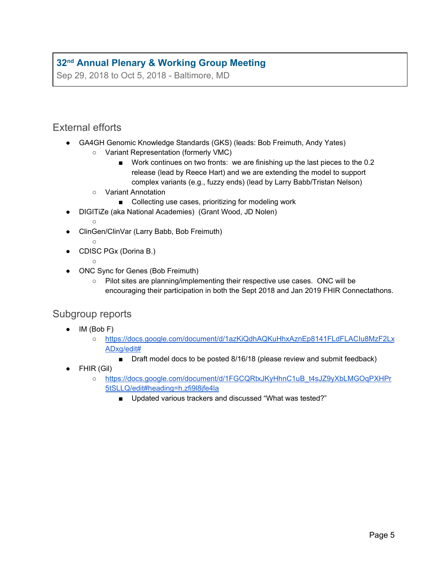## **[32](http://www.hl7.org/events/working_group_meeting/2018/09/) [nd](http://www.hl7.org/events/working_group_meeting/2018/09/) Annual Plenary & [Working](http://www.hl7.org/events/working_group_meeting/2018/09/) Group Meeting**

Sep 29, 2018 to Oct 5, 2018 - Baltimore, MD

### <span id="page-4-0"></span>External efforts

- GA4GH Genomic Knowledge Standards (GKS) (leads: Bob Freimuth, Andy Yates)
	- Variant Representation (formerly VMC)
		- Work continues on two fronts: we are finishing up the last pieces to the 0.2 release (lead by Reece Hart) and we are extending the model to support complex variants (e.g., fuzzy ends) (lead by Larry Babb/Tristan Nelson)
	- Variant Annotation
		- Collecting use cases, prioritizing for modeling work
- DIGITiZe (aka National Academies) (Grant Wood, JD Nolen)
	- ○
- ClinGen/ClinVar (Larry Babb, Bob Freimuth)
	- ○

 $\circ$ 

- CDISC PGx (Dorina B.)
- ONC Sync for Genes (Bob Freimuth)
	- Pilot sites are planning/implementing their respective use cases. ONC will be encouraging their participation in both the Sept 2018 and Jan 2019 FHIR Connectathons.

### <span id="page-4-1"></span>Subgroup reports

- IM (Bob F)
	- [https://docs.google.com/document/d/1azKiQdhAQKuHhxAznEp8141FLdFLACIu8MzF2Lx](https://docs.google.com/document/d/1azKiQdhAQKuHhxAznEp8141FLdFLACIu8MzF2LxADxg/edit#) [ADxg/edit#](https://docs.google.com/document/d/1azKiQdhAQKuHhxAznEp8141FLdFLACIu8MzF2LxADxg/edit#)
		- Draft model docs to be posted 8/16/18 (please review and submit feedback)
- FHIR (Gil)
	- [https://docs.google.com/document/d/1FGCQRtxJKyHhnC1uB\\_t4sJZ9yXbLMGOqPXHPr](https://docs.google.com/document/d/1FGCQRtxJKyHhnC1uB_t4sJZ9yXbLMGOqPXHPr5tSLLQ/edit#heading=h.zfi9l8jfe4la) [5tSLLQ/edit#heading=h.zfi9l8jfe4la](https://docs.google.com/document/d/1FGCQRtxJKyHhnC1uB_t4sJZ9yXbLMGOqPXHPr5tSLLQ/edit#heading=h.zfi9l8jfe4la)
		- Updated various trackers and discussed "What was tested?"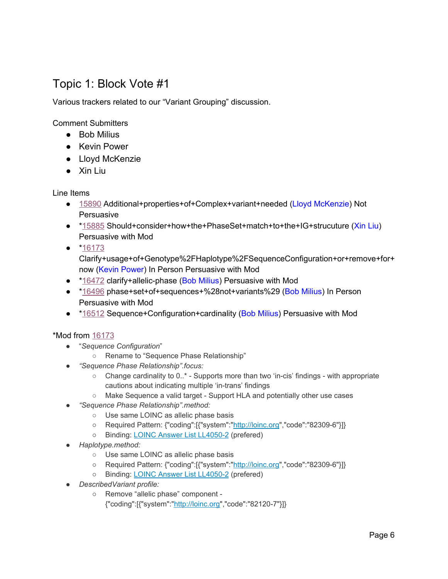## <span id="page-5-0"></span>Topic 1: Block Vote #1

Various trackers related to our "Variant Grouping" discussion.

Comment Submitters

- Bob Milius
- Kevin Power
- Lloyd McKenzie
- Xin Liu

Line Items

- [15890](https://urldefense.proofpoint.com/v2/url?u=https-3A__na01.safelinks.protection.outlook.com_-3Furl-3Dhttp-253A-252F-252Fgforge.hl7.org-252Fgf-252Fproject-252Ffhir-252Ftracker-252F-253Faction-253DTrackerItemEdit-2526tracker-5Fitem-5Fid-253D15890-26data-3D02-257C01-257CKevin.Power-2540cerner.com-257C574be2471d3d4715f27908d5fc8e4c33-257Cfbc493a80d244454a815f4ca58e8c09d-257C0-257C0-257C636692610470865797-26sdata-3Dpq4sxG8uM5jgg-252BI6B9Nsb5vd8qLQQX7h5dDmtsKNhNk-253D-26reserved-3D0&d=DwMFaQ&c=C_O335FEx-vf3XHLXGN8TO1BAxpi8-UjLCbu_DQ0pZI&r=ryg_9rF5dRVeoA6Q9Ubodw&m=8F1uaqfk-3Y-affjnVBehqTwnzRNUCwUY9rC9PJh0Zs&s=Lel3qNkYMDUUNOZJ7NbB5tBPpCwtAJNFWpJNXAS_Dq4&e=) Additional+properties+of+Complex+variant+needed (Lloyd McKenzie) Not **Persuasive**
- [\\*15885](https://urldefense.proofpoint.com/v2/url?u=https-3A__na01.safelinks.protection.outlook.com_-3Furl-3Dhttp-253A-252F-252Fgforge.hl7.org-252Fgf-252Fproject-252Ffhir-252Ftracker-252F-253Faction-253DTrackerItemEdit-2526tracker-5Fitem-5Fid-253D15885-26data-3D02-257C01-257CKevin.Power-2540cerner.com-257C574be2471d3d4715f27908d5fc8e4c33-257Cfbc493a80d244454a815f4ca58e8c09d-257C0-257C0-257C636692610470865797-26sdata-3DMPsNB17holjxohDs7tXQhVE7FsYAyicglAuUK08YkT0-253D-26reserved-3D0&d=DwMFaQ&c=C_O335FEx-vf3XHLXGN8TO1BAxpi8-UjLCbu_DQ0pZI&r=ryg_9rF5dRVeoA6Q9Ubodw&m=8F1uaqfk-3Y-affjnVBehqTwnzRNUCwUY9rC9PJh0Zs&s=7_yYhggQ-v_QpdJan2kJ3EBfYPm3ocCyiZhuq24n5z8&e=) Should+consider+how+the+PhaseSet+match+to+the+IG+strucuture (Xin Liu) Persuasive with Mod
- [\\*16173](https://urldefense.proofpoint.com/v2/url?u=https-3A__na01.safelinks.protection.outlook.com_-3Furl-3Dhttp-253A-252F-252Fgforge.hl7.org-252Fgf-252Fproject-252Ffhir-252Ftracker-252F-253Faction-253DTrackerItemEdit-2526tracker-5Fitem-5Fid-253D16173-26data-3D02-257C01-257CKevin.Power-2540cerner.com-257C574be2471d3d4715f27908d5fc8e4c33-257Cfbc493a80d244454a815f4ca58e8c09d-257C0-257C0-257C636692610470875802-26sdata-3DVbGX2n6hgjD3CMjJuFANVe6JX28Uwy6ghGUd9ymPLu4-253D-26reserved-3D0&d=DwMFaQ&c=C_O335FEx-vf3XHLXGN8TO1BAxpi8-UjLCbu_DQ0pZI&r=ryg_9rF5dRVeoA6Q9Ubodw&m=8F1uaqfk-3Y-affjnVBehqTwnzRNUCwUY9rC9PJh0Zs&s=OXZ5bYgwwwjihCubWCQGCRQZ5dqLBw91-wqa9wOeHOU&e=)

Clarify+usage+of+Genotype%2FHaplotype%2FSequenceConfiguration+or+remove+for+ now (Kevin Power) In Person Persuasive with Mod

- [\\*16472](https://urldefense.proofpoint.com/v2/url?u=https-3A__na01.safelinks.protection.outlook.com_-3Furl-3Dhttp-253A-252F-252Fgforge.hl7.org-252Fgf-252Fproject-252Ffhir-252Ftracker-252F-253Faction-253DTrackerItemEdit-2526tracker-5Fitem-5Fid-253D16472-26data-3D02-257C01-257CKevin.Power-2540cerner.com-257C574be2471d3d4715f27908d5fc8e4c33-257Cfbc493a80d244454a815f4ca58e8c09d-257C0-257C0-257C636692610470875802-26sdata-3DrWJOwnjjNTlXsrDIMAa3nvuHZBr1e5VlAadDyngd03c-253D-26reserved-3D0&d=DwMFaQ&c=C_O335FEx-vf3XHLXGN8TO1BAxpi8-UjLCbu_DQ0pZI&r=ryg_9rF5dRVeoA6Q9Ubodw&m=8F1uaqfk-3Y-affjnVBehqTwnzRNUCwUY9rC9PJh0Zs&s=P8PIJdTUaQbkjw8xOlf8g2ZUvjq0ROsxOZGfq3Oxye0&e=) clarify+allelic-phase (Bob Milius) Persuasive with Mod
- [\\*16496](https://urldefense.proofpoint.com/v2/url?u=https-3A__na01.safelinks.protection.outlook.com_-3Furl-3Dhttp-253A-252F-252Fgforge.hl7.org-252Fgf-252Fproject-252Ffhir-252Ftracker-252F-253Faction-253DTrackerItemEdit-2526tracker-5Fitem-5Fid-253D16496-26data-3D02-257C01-257CKevin.Power-2540cerner.com-257C574be2471d3d4715f27908d5fc8e4c33-257Cfbc493a80d244454a815f4ca58e8c09d-257C0-257C0-257C636692610470885811-26sdata-3DML1OIEwBYEap-252F-252BC98gEo6kNh29yGrTTyTF-252FNSgGMRhI-253D-26reserved-3D0&d=DwMFaQ&c=C_O335FEx-vf3XHLXGN8TO1BAxpi8-UjLCbu_DQ0pZI&r=ryg_9rF5dRVeoA6Q9Ubodw&m=8F1uaqfk-3Y-affjnVBehqTwnzRNUCwUY9rC9PJh0Zs&s=Ku4P9Kpz-k-XZNY8-7H0gWjqYQWeEtIkNP-kMi99gXA&e=) phase+set+of+sequences+%28not+variants%29 (Bob Milius) In Person Persuasive with Mod
- [\\*16512](https://urldefense.proofpoint.com/v2/url?u=https-3A__na01.safelinks.protection.outlook.com_-3Furl-3Dhttp-253A-252F-252Fgforge.hl7.org-252Fgf-252Fproject-252Ffhir-252Ftracker-252F-253Faction-253DTrackerItemEdit-2526tracker-5Fitem-5Fid-253D16512-26data-3D02-257C01-257CKevin.Power-2540cerner.com-257C574be2471d3d4715f27908d5fc8e4c33-257Cfbc493a80d244454a815f4ca58e8c09d-257C0-257C0-257C636692610470885811-26sdata-3DLZsRl4Uk2pWnMM7Fys6S9AThE4UCX8JhxN-252BAecYrCdw-253D-26reserved-3D0&d=DwMFaQ&c=C_O335FEx-vf3XHLXGN8TO1BAxpi8-UjLCbu_DQ0pZI&r=ryg_9rF5dRVeoA6Q9Ubodw&m=8F1uaqfk-3Y-affjnVBehqTwnzRNUCwUY9rC9PJh0Zs&s=kQwDGezWz9e9cHbcIo58JOR4CZzSrrWgDFfvCG6D_fU&e=) Sequence+Configuration+cardinality (Bob Milius) Persuasive with Mod

#### \*Mod from [16173](https://urldefense.proofpoint.com/v2/url?u=https-3A__na01.safelinks.protection.outlook.com_-3Furl-3Dhttp-253A-252F-252Fgforge.hl7.org-252Fgf-252Fproject-252Ffhir-252Ftracker-252F-253Faction-253DTrackerItemEdit-2526tracker-5Fitem-5Fid-253D16173-26data-3D02-257C01-257CKevin.Power-2540cerner.com-257C574be2471d3d4715f27908d5fc8e4c33-257Cfbc493a80d244454a815f4ca58e8c09d-257C0-257C0-257C636692610470875802-26sdata-3DVbGX2n6hgjD3CMjJuFANVe6JX28Uwy6ghGUd9ymPLu4-253D-26reserved-3D0&d=DwMFaQ&c=C_O335FEx-vf3XHLXGN8TO1BAxpi8-UjLCbu_DQ0pZI&r=ryg_9rF5dRVeoA6Q9Ubodw&m=8F1uaqfk-3Y-affjnVBehqTwnzRNUCwUY9rC9PJh0Zs&s=OXZ5bYgwwwjihCubWCQGCRQZ5dqLBw91-wqa9wOeHOU&e=)

- "*Sequence Configuration*"
	- Rename to "Sequence Phase Relationship"
- *● "Sequence Phase Relationship".focus:*
	- $\circ$  Change cardinality to 0..\* Supports more than two 'in-cis' findings with appropriate cautions about indicating multiple 'in-trans' findings
	- Make Sequence a valid target Support HLA and potentially other use cases
- *● "Sequence Phase Relationship".method:*
	- Use same LOINC as allelic phase basis
	- Required Pattern: {"coding":[{"system":"[http://loinc.org"](http://loinc.org/),"code":"82309-6"}]}
	- Binding: LOINC Answer List [LL4050-2](https://r.details.loinc.org/AnswerList/LL4050-2.html) (prefered)
- *● Haplotype.method:*
	- Use same LOINC as allelic phase basis
	- Required Pattern: {"coding":[{"system":"[http://loinc.org"](http://loinc.org/),"code":"82309-6"}]}
	- Binding: LOINC Answer List [LL4050-2](https://r.details.loinc.org/AnswerList/LL4050-2.html) (prefered)
- *● DescribedVariant profile:*
	- Remove "allelic phase" component
		- {"coding":[{"system":"[http://loinc.org"](http://loinc.org/),"code":"82120-7"}]}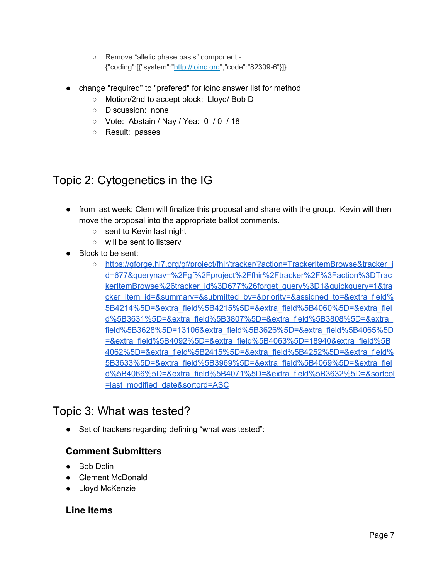- Remove "allelic phase basis" component {"coding":[{"system":"[http://loinc.org"](http://loinc.org/),"code":"82309-6"}]}
- change "required" to "prefered" for loinc answer list for method
	- Motion/2nd to accept block: Lloyd/ Bob D
	- Discussion: none
	- Vote: Abstain / Nay / Yea: 0 / 0 / 18
	- Result: passes

# <span id="page-6-0"></span>Topic 2: Cytogenetics in the IG

- from last week: Clem will finalize this proposal and share with the group. Kevin will then move the proposal into the appropriate ballot comments.
	- sent to Kevin last night
	- will be sent to listserv
- Block to be sent:
	- [https://gforge.hl7.org/gf/project/fhir/tracker/?action=TrackerItemBrowse&tracker\\_i](https://gforge.hl7.org/gf/project/fhir/tracker/?action=TrackerItemBrowse&tracker_id=677&querynav=%2Fgf%2Fproject%2Ffhir%2Ftracker%2F%3Faction%3DTrackerItemBrowse%26tracker_id%3D677%26forget_query%3D1&quickquery=1&tracker_item_id=&summary=&submitted_by=&priority=&assigned_to=&extra_field%5B4214%5D=&extra_field%5B4215%5D=&extra_field%5B4060%5D=&extra_field%5B3631%5D=&extra_field%5B3807%5D=&extra_field%5B3808%5D=&extra_field%5B3628%5D=13106&extra_field%5B3626%5D=&extra_field%5B4065%5D=&extra_field%5B4092%5D=&extra_field%5B4063%5D=18940&extra_field%5B4062%5D=&extra_field%5B2415%5D=&extra_field%5B4252%5D=&extra_field%5B3633%5D=&extra_field%5B3969%5D=&extra_field%5B4069%5D=&extra_field%5B4066%5D=&extra_field%5B4071%5D=&extra_field%5B3632%5D=&sortcol=last_modified_date&sortord=ASC) [d=677&querynav=%2Fgf%2Fproject%2Ffhir%2Ftracker%2F%3Faction%3DTrac](https://gforge.hl7.org/gf/project/fhir/tracker/?action=TrackerItemBrowse&tracker_id=677&querynav=%2Fgf%2Fproject%2Ffhir%2Ftracker%2F%3Faction%3DTrackerItemBrowse%26tracker_id%3D677%26forget_query%3D1&quickquery=1&tracker_item_id=&summary=&submitted_by=&priority=&assigned_to=&extra_field%5B4214%5D=&extra_field%5B4215%5D=&extra_field%5B4060%5D=&extra_field%5B3631%5D=&extra_field%5B3807%5D=&extra_field%5B3808%5D=&extra_field%5B3628%5D=13106&extra_field%5B3626%5D=&extra_field%5B4065%5D=&extra_field%5B4092%5D=&extra_field%5B4063%5D=18940&extra_field%5B4062%5D=&extra_field%5B2415%5D=&extra_field%5B4252%5D=&extra_field%5B3633%5D=&extra_field%5B3969%5D=&extra_field%5B4069%5D=&extra_field%5B4066%5D=&extra_field%5B4071%5D=&extra_field%5B3632%5D=&sortcol=last_modified_date&sortord=ASC) [kerItemBrowse%26tracker\\_id%3D677%26forget\\_query%3D1&quickquery=1&tra](https://gforge.hl7.org/gf/project/fhir/tracker/?action=TrackerItemBrowse&tracker_id=677&querynav=%2Fgf%2Fproject%2Ffhir%2Ftracker%2F%3Faction%3DTrackerItemBrowse%26tracker_id%3D677%26forget_query%3D1&quickquery=1&tracker_item_id=&summary=&submitted_by=&priority=&assigned_to=&extra_field%5B4214%5D=&extra_field%5B4215%5D=&extra_field%5B4060%5D=&extra_field%5B3631%5D=&extra_field%5B3807%5D=&extra_field%5B3808%5D=&extra_field%5B3628%5D=13106&extra_field%5B3626%5D=&extra_field%5B4065%5D=&extra_field%5B4092%5D=&extra_field%5B4063%5D=18940&extra_field%5B4062%5D=&extra_field%5B2415%5D=&extra_field%5B4252%5D=&extra_field%5B3633%5D=&extra_field%5B3969%5D=&extra_field%5B4069%5D=&extra_field%5B4066%5D=&extra_field%5B4071%5D=&extra_field%5B3632%5D=&sortcol=last_modified_date&sortord=ASC) [cker\\_item\\_id=&summary=&submitted\\_by=&priority=&assigned\\_to=&extra\\_field%](https://gforge.hl7.org/gf/project/fhir/tracker/?action=TrackerItemBrowse&tracker_id=677&querynav=%2Fgf%2Fproject%2Ffhir%2Ftracker%2F%3Faction%3DTrackerItemBrowse%26tracker_id%3D677%26forget_query%3D1&quickquery=1&tracker_item_id=&summary=&submitted_by=&priority=&assigned_to=&extra_field%5B4214%5D=&extra_field%5B4215%5D=&extra_field%5B4060%5D=&extra_field%5B3631%5D=&extra_field%5B3807%5D=&extra_field%5B3808%5D=&extra_field%5B3628%5D=13106&extra_field%5B3626%5D=&extra_field%5B4065%5D=&extra_field%5B4092%5D=&extra_field%5B4063%5D=18940&extra_field%5B4062%5D=&extra_field%5B2415%5D=&extra_field%5B4252%5D=&extra_field%5B3633%5D=&extra_field%5B3969%5D=&extra_field%5B4069%5D=&extra_field%5B4066%5D=&extra_field%5B4071%5D=&extra_field%5B3632%5D=&sortcol=last_modified_date&sortord=ASC) [5B4214%5D=&extra\\_field%5B4215%5D=&extra\\_field%5B4060%5D=&extra\\_fiel](https://gforge.hl7.org/gf/project/fhir/tracker/?action=TrackerItemBrowse&tracker_id=677&querynav=%2Fgf%2Fproject%2Ffhir%2Ftracker%2F%3Faction%3DTrackerItemBrowse%26tracker_id%3D677%26forget_query%3D1&quickquery=1&tracker_item_id=&summary=&submitted_by=&priority=&assigned_to=&extra_field%5B4214%5D=&extra_field%5B4215%5D=&extra_field%5B4060%5D=&extra_field%5B3631%5D=&extra_field%5B3807%5D=&extra_field%5B3808%5D=&extra_field%5B3628%5D=13106&extra_field%5B3626%5D=&extra_field%5B4065%5D=&extra_field%5B4092%5D=&extra_field%5B4063%5D=18940&extra_field%5B4062%5D=&extra_field%5B2415%5D=&extra_field%5B4252%5D=&extra_field%5B3633%5D=&extra_field%5B3969%5D=&extra_field%5B4069%5D=&extra_field%5B4066%5D=&extra_field%5B4071%5D=&extra_field%5B3632%5D=&sortcol=last_modified_date&sortord=ASC) [d%5B3631%5D=&extra\\_field%5B3807%5D=&extra\\_field%5B3808%5D=&extra\\_](https://gforge.hl7.org/gf/project/fhir/tracker/?action=TrackerItemBrowse&tracker_id=677&querynav=%2Fgf%2Fproject%2Ffhir%2Ftracker%2F%3Faction%3DTrackerItemBrowse%26tracker_id%3D677%26forget_query%3D1&quickquery=1&tracker_item_id=&summary=&submitted_by=&priority=&assigned_to=&extra_field%5B4214%5D=&extra_field%5B4215%5D=&extra_field%5B4060%5D=&extra_field%5B3631%5D=&extra_field%5B3807%5D=&extra_field%5B3808%5D=&extra_field%5B3628%5D=13106&extra_field%5B3626%5D=&extra_field%5B4065%5D=&extra_field%5B4092%5D=&extra_field%5B4063%5D=18940&extra_field%5B4062%5D=&extra_field%5B2415%5D=&extra_field%5B4252%5D=&extra_field%5B3633%5D=&extra_field%5B3969%5D=&extra_field%5B4069%5D=&extra_field%5B4066%5D=&extra_field%5B4071%5D=&extra_field%5B3632%5D=&sortcol=last_modified_date&sortord=ASC) [field%5B3628%5D=13106&extra\\_field%5B3626%5D=&extra\\_field%5B4065%5D](https://gforge.hl7.org/gf/project/fhir/tracker/?action=TrackerItemBrowse&tracker_id=677&querynav=%2Fgf%2Fproject%2Ffhir%2Ftracker%2F%3Faction%3DTrackerItemBrowse%26tracker_id%3D677%26forget_query%3D1&quickquery=1&tracker_item_id=&summary=&submitted_by=&priority=&assigned_to=&extra_field%5B4214%5D=&extra_field%5B4215%5D=&extra_field%5B4060%5D=&extra_field%5B3631%5D=&extra_field%5B3807%5D=&extra_field%5B3808%5D=&extra_field%5B3628%5D=13106&extra_field%5B3626%5D=&extra_field%5B4065%5D=&extra_field%5B4092%5D=&extra_field%5B4063%5D=18940&extra_field%5B4062%5D=&extra_field%5B2415%5D=&extra_field%5B4252%5D=&extra_field%5B3633%5D=&extra_field%5B3969%5D=&extra_field%5B4069%5D=&extra_field%5B4066%5D=&extra_field%5B4071%5D=&extra_field%5B3632%5D=&sortcol=last_modified_date&sortord=ASC) [=&extra\\_field%5B4092%5D=&extra\\_field%5B4063%5D=18940&extra\\_field%5B](https://gforge.hl7.org/gf/project/fhir/tracker/?action=TrackerItemBrowse&tracker_id=677&querynav=%2Fgf%2Fproject%2Ffhir%2Ftracker%2F%3Faction%3DTrackerItemBrowse%26tracker_id%3D677%26forget_query%3D1&quickquery=1&tracker_item_id=&summary=&submitted_by=&priority=&assigned_to=&extra_field%5B4214%5D=&extra_field%5B4215%5D=&extra_field%5B4060%5D=&extra_field%5B3631%5D=&extra_field%5B3807%5D=&extra_field%5B3808%5D=&extra_field%5B3628%5D=13106&extra_field%5B3626%5D=&extra_field%5B4065%5D=&extra_field%5B4092%5D=&extra_field%5B4063%5D=18940&extra_field%5B4062%5D=&extra_field%5B2415%5D=&extra_field%5B4252%5D=&extra_field%5B3633%5D=&extra_field%5B3969%5D=&extra_field%5B4069%5D=&extra_field%5B4066%5D=&extra_field%5B4071%5D=&extra_field%5B3632%5D=&sortcol=last_modified_date&sortord=ASC) [4062%5D=&extra\\_field%5B2415%5D=&extra\\_field%5B4252%5D=&extra\\_field%](https://gforge.hl7.org/gf/project/fhir/tracker/?action=TrackerItemBrowse&tracker_id=677&querynav=%2Fgf%2Fproject%2Ffhir%2Ftracker%2F%3Faction%3DTrackerItemBrowse%26tracker_id%3D677%26forget_query%3D1&quickquery=1&tracker_item_id=&summary=&submitted_by=&priority=&assigned_to=&extra_field%5B4214%5D=&extra_field%5B4215%5D=&extra_field%5B4060%5D=&extra_field%5B3631%5D=&extra_field%5B3807%5D=&extra_field%5B3808%5D=&extra_field%5B3628%5D=13106&extra_field%5B3626%5D=&extra_field%5B4065%5D=&extra_field%5B4092%5D=&extra_field%5B4063%5D=18940&extra_field%5B4062%5D=&extra_field%5B2415%5D=&extra_field%5B4252%5D=&extra_field%5B3633%5D=&extra_field%5B3969%5D=&extra_field%5B4069%5D=&extra_field%5B4066%5D=&extra_field%5B4071%5D=&extra_field%5B3632%5D=&sortcol=last_modified_date&sortord=ASC) [5B3633%5D=&extra\\_field%5B3969%5D=&extra\\_field%5B4069%5D=&extra\\_fiel](https://gforge.hl7.org/gf/project/fhir/tracker/?action=TrackerItemBrowse&tracker_id=677&querynav=%2Fgf%2Fproject%2Ffhir%2Ftracker%2F%3Faction%3DTrackerItemBrowse%26tracker_id%3D677%26forget_query%3D1&quickquery=1&tracker_item_id=&summary=&submitted_by=&priority=&assigned_to=&extra_field%5B4214%5D=&extra_field%5B4215%5D=&extra_field%5B4060%5D=&extra_field%5B3631%5D=&extra_field%5B3807%5D=&extra_field%5B3808%5D=&extra_field%5B3628%5D=13106&extra_field%5B3626%5D=&extra_field%5B4065%5D=&extra_field%5B4092%5D=&extra_field%5B4063%5D=18940&extra_field%5B4062%5D=&extra_field%5B2415%5D=&extra_field%5B4252%5D=&extra_field%5B3633%5D=&extra_field%5B3969%5D=&extra_field%5B4069%5D=&extra_field%5B4066%5D=&extra_field%5B4071%5D=&extra_field%5B3632%5D=&sortcol=last_modified_date&sortord=ASC) [d%5B4066%5D=&extra\\_field%5B4071%5D=&extra\\_field%5B3632%5D=&sortcol](https://gforge.hl7.org/gf/project/fhir/tracker/?action=TrackerItemBrowse&tracker_id=677&querynav=%2Fgf%2Fproject%2Ffhir%2Ftracker%2F%3Faction%3DTrackerItemBrowse%26tracker_id%3D677%26forget_query%3D1&quickquery=1&tracker_item_id=&summary=&submitted_by=&priority=&assigned_to=&extra_field%5B4214%5D=&extra_field%5B4215%5D=&extra_field%5B4060%5D=&extra_field%5B3631%5D=&extra_field%5B3807%5D=&extra_field%5B3808%5D=&extra_field%5B3628%5D=13106&extra_field%5B3626%5D=&extra_field%5B4065%5D=&extra_field%5B4092%5D=&extra_field%5B4063%5D=18940&extra_field%5B4062%5D=&extra_field%5B2415%5D=&extra_field%5B4252%5D=&extra_field%5B3633%5D=&extra_field%5B3969%5D=&extra_field%5B4069%5D=&extra_field%5B4066%5D=&extra_field%5B4071%5D=&extra_field%5B3632%5D=&sortcol=last_modified_date&sortord=ASC) [=last\\_modified\\_date&sortord=ASC](https://gforge.hl7.org/gf/project/fhir/tracker/?action=TrackerItemBrowse&tracker_id=677&querynav=%2Fgf%2Fproject%2Ffhir%2Ftracker%2F%3Faction%3DTrackerItemBrowse%26tracker_id%3D677%26forget_query%3D1&quickquery=1&tracker_item_id=&summary=&submitted_by=&priority=&assigned_to=&extra_field%5B4214%5D=&extra_field%5B4215%5D=&extra_field%5B4060%5D=&extra_field%5B3631%5D=&extra_field%5B3807%5D=&extra_field%5B3808%5D=&extra_field%5B3628%5D=13106&extra_field%5B3626%5D=&extra_field%5B4065%5D=&extra_field%5B4092%5D=&extra_field%5B4063%5D=18940&extra_field%5B4062%5D=&extra_field%5B2415%5D=&extra_field%5B4252%5D=&extra_field%5B3633%5D=&extra_field%5B3969%5D=&extra_field%5B4069%5D=&extra_field%5B4066%5D=&extra_field%5B4071%5D=&extra_field%5B3632%5D=&sortcol=last_modified_date&sortord=ASC)

## <span id="page-6-1"></span>Topic 3: What was tested?

● Set of trackers regarding defining "what was tested":

### **Comment Submitters**

- Bob Dolin
- Clement McDonald
- Lloyd McKenzie

### **Line Items**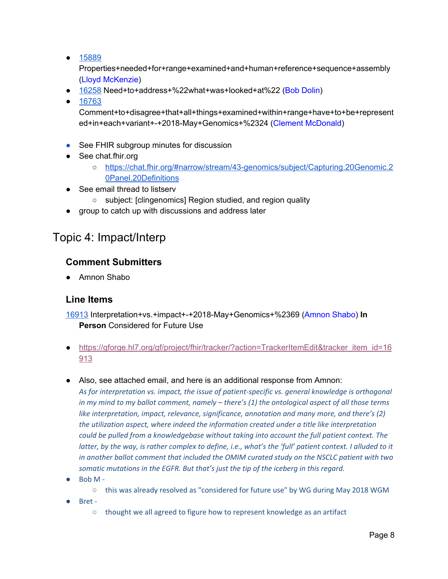● [15889](http://gforge.hl7.org/gf/project/fhir/tracker/?action=TrackerItemEdit&tracker_item_id=15889)

Properties+needed+for+range+examined+and+human+reference+sequence+assembly (Lloyd McKenzie)

- [16258](http://gforge.hl7.org/gf/project/fhir/tracker/?action=TrackerItemEdit&tracker_item_id=16258) Need+to+address+%22what+was+looked+at%22 (Bob Dolin)
- [16763](http://gforge.hl7.org/gf/project/fhir/tracker/?action=TrackerItemEdit&tracker_item_id=16763)

Comment+to+disagree+that+all+things+examined+within+range+have+to+be+represent ed+in+each+variant+-+2018-May+Genomics+%2324 (Clement McDonald)

- See FHIR subgroup minutes for discussion
- See chat.fhir.org
	- [https://chat.fhir.org/#narrow/stream/43-genomics/subject/Capturing.20Genomic.2](https://chat.fhir.org/#narrow/stream/43-genomics/subject/Capturing.20Genomic.20Panel.20Definitions) [0Panel.20Definitions](https://chat.fhir.org/#narrow/stream/43-genomics/subject/Capturing.20Genomic.20Panel.20Definitions)
- See email thread to listserv
	- subject: [clingenomics] Region studied, and region quality
- group to catch up with discussions and address later

## <span id="page-7-0"></span>Topic 4: Impact/Interp

### **Comment Submitters**

● Amnon Shabo

### **Line Items**

[16913](http://gforge.hl7.org/gf/project/fhir/tracker/?action=TrackerItemEdit&tracker_item_id=16913) Interpretation+vs.+impact+-+2018-May+Genomics+%2369 (Amnon Shabo) **In Person** Considered for Future Use

- [https://gforge.hl7.org/gf/project/fhir/tracker/?action=TrackerItemEdit&tracker\\_item\\_id=16](https://urldefense.proofpoint.com/v2/url?u=https-3A__gforge.hl7.org_gf_project_fhir_tracker_-3Faction-3DTrackerItemEdit-26tracker-5Fitem-5Fid-3D16913&d=DwMGaQ&c=C_O335FEx-vf3XHLXGN8TO1BAxpi8-UjLCbu_DQ0pZI&r=ryg_9rF5dRVeoA6Q9Ubodw&m=8F1uaqfk-3Y-affjnVBehqTwnzRNUCwUY9rC9PJh0Zs&s=wXd6BbM_imSI1vIeE8ggqmtP2z-7nnha1n_YkZSpQsE&e=) [913](https://urldefense.proofpoint.com/v2/url?u=https-3A__gforge.hl7.org_gf_project_fhir_tracker_-3Faction-3DTrackerItemEdit-26tracker-5Fitem-5Fid-3D16913&d=DwMGaQ&c=C_O335FEx-vf3XHLXGN8TO1BAxpi8-UjLCbu_DQ0pZI&r=ryg_9rF5dRVeoA6Q9Ubodw&m=8F1uaqfk-3Y-affjnVBehqTwnzRNUCwUY9rC9PJh0Zs&s=wXd6BbM_imSI1vIeE8ggqmtP2z-7nnha1n_YkZSpQsE&e=)
- Also, see attached email, and here is an additional response from Amnon:

*As for interpretation vs. impact, the issue of patient-specific vs. general knowledge is orthogonal in my mind to my ballot comment, namely – there's (1) the ontological aspect of all those terms like interpretation, impact, relevance, significance, annotation and many more, and there's (2) the utilization aspect, where indeed the information created under a title like interpretation could be pulled from a knowledgebase without taking into account the full patient context. The* latter, by the way, is rather complex to define, i.e., what's the 'full' patient context. I alluded to it *in another ballot comment that included the OMIM curated study on the NSCLC patient with two somatic mutations in the EGFR. But that's just the tip of the iceberg in this regard.*

- Bob M
	- this was already resolved as "considered for future use" by WG during May 2018 WGM
- Bret
	- thought we all agreed to figure how to represent knowledge as an artifact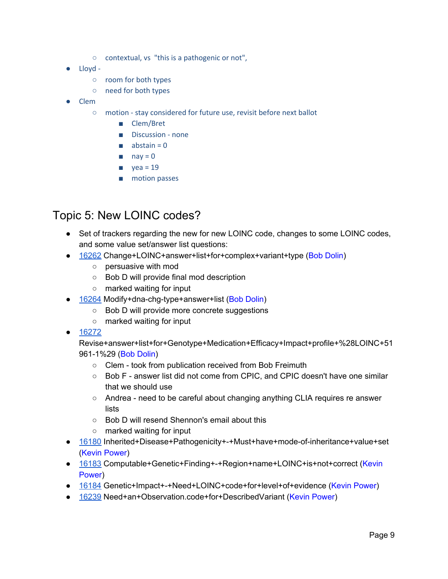- contextual, vs "this is a pathogenic or not",
- Lloyd
	- room for both types
	- need for both types
- Clem
	- motion stay considered for future use, revisit before next ballot
		- Clem/Bret
		- Discussion none
		- $\blacksquare$  abstain = 0
		- $\blacksquare$  nay = 0
		- $\blacksquare$  yea = 19
		- motion passes

## <span id="page-8-0"></span>Topic 5: New LOINC codes?

- Set of trackers regarding the new for new LOINC code, changes to some LOINC codes, and some value set/answer list questions:
- [16262](http://gforge.hl7.org/gf/project/fhir/tracker/?action=TrackerItemEdit&tracker_item_id=16262) Change+LOINC+answer+list+for+complex+variant+type (Bob Dolin)
	- persuasive with mod
	- Bob D will provide final mod description
	- marked waiting for input
- [16264](http://gforge.hl7.org/gf/project/fhir/tracker/?action=TrackerItemEdit&tracker_item_id=16264) Modify+dna-chg-type+answer+list (Bob Dolin)
	- Bob D will provide more concrete suggestions
	- marked waiting for input
- [16272](http://gforge.hl7.org/gf/project/fhir/tracker/?action=TrackerItemEdit&tracker_item_id=16272)

Revise+answer+list+for+Genotype+Medication+Efficacy+Impact+profile+%28LOINC+51 961-1%29 (Bob Dolin)

- Clem took from publication received from Bob Freimuth
- Bob F answer list did not come from CPIC, and CPIC doesn't have one similar that we should use
- Andrea need to be careful about changing anything CLIA requires re answer lists
- Bob D will resend Shennon's email about this
- marked waiting for input
- [16180](http://gforge.hl7.org/gf/project/fhir/tracker/?action=TrackerItemEdit&tracker_item_id=16180) Inherited+Disease+Pathogenicity+-+Must+have+mode-of-inheritance+value+set (Kevin Power)
- [16183](http://gforge.hl7.org/gf/project/fhir/tracker/?action=TrackerItemEdit&tracker_item_id=16183) Computable+Genetic+Finding+-+Region+name+LOINC+is+not+correct (Kevin Power)
- [16184](http://gforge.hl7.org/gf/project/fhir/tracker/?action=TrackerItemEdit&tracker_item_id=16184) Genetic+Impact+-+Need+LOINC+code+for+level+of+evidence (Kevin Power)
- [16239](http://gforge.hl7.org/gf/project/fhir/tracker/?action=TrackerItemEdit&tracker_item_id=16239) Need+an+Observation.code+for+DescribedVariant (Kevin Power)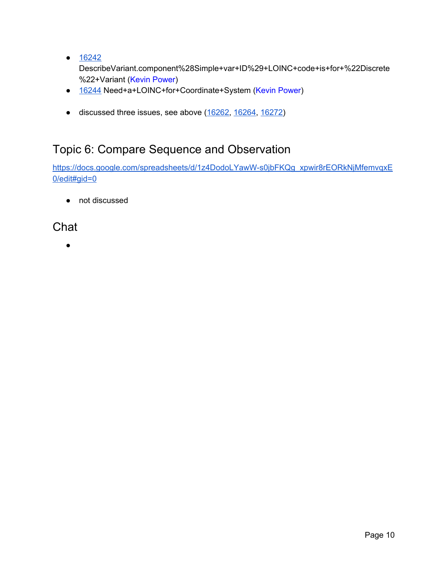● [16242](http://gforge.hl7.org/gf/project/fhir/tracker/?action=TrackerItemEdit&tracker_item_id=16242)

DescribeVariant.component%28Simple+var+ID%29+LOINC+code+is+for+%22Discrete %22+Variant (Kevin Power)

- [16244](http://gforge.hl7.org/gf/project/fhir/tracker/?action=TrackerItemEdit&tracker_item_id=16244) Need+a+LOINC+for+Coordinate+System (Kevin Power)
- discussed three issues, see above ([16262,](http://gforge.hl7.org/gf/project/fhir/tracker/?action=TrackerItemEdit&tracker_item_id=16262) [16264,](http://gforge.hl7.org/gf/project/fhir/tracker/?action=TrackerItemEdit&tracker_item_id=16264) [16272\)](http://gforge.hl7.org/gf/project/fhir/tracker/?action=TrackerItemEdit&tracker_item_id=16272)

## <span id="page-9-0"></span>Topic 6: Compare Sequence and Observation

[https://docs.google.com/spreadsheets/d/1z4DodoLYawW-s0jbFKQg\\_xpwir8rEORkNjMfemvqxE](https://docs.google.com/spreadsheets/d/1z4DodoLYawW-s0jbFKQg_xpwir8rEORkNjMfemvqxE0/edit#gid=0) [0/edit#gid=0](https://docs.google.com/spreadsheets/d/1z4DodoLYawW-s0jbFKQg_xpwir8rEORkNjMfemvqxE0/edit#gid=0)

● not discussed

<span id="page-9-1"></span>**Chat** 

●